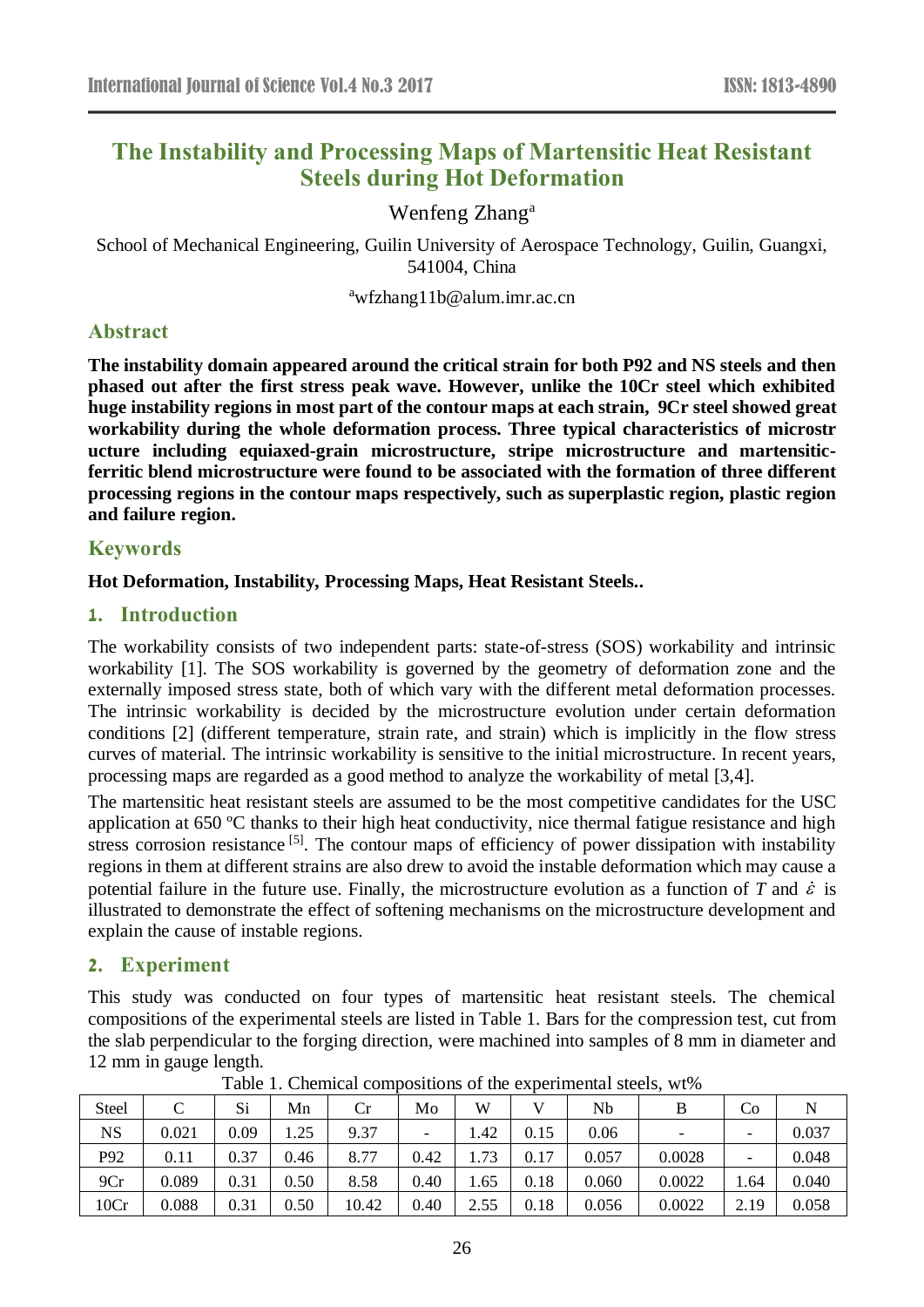# **The Instability and Processing Maps of Martensitic Heat Resistant Steels during Hot Deformation**

## Wenfeng Zhang<sup>a</sup>

School of Mechanical Engineering, Guilin University of Aerospace Technology, Guilin, Guangxi, 541004, China

<sup>a</sup>wfzhang11b@alum.imr.ac.cn

## **Abstract**

**The instability domain appeared around the critical strain for both P92 and NS steels and then phased out after the first stress peak wave. However, unlike the 10Cr steel which exhibited huge instability regions in most part of the contour maps at each strain, 9Cr steel showed great workability during the whole deformation process. Three typical characteristics of microstr ucture including equiaxed-grain microstructure, stripe microstructure and martensiticferritic blend microstructure were found to be associated with the formation of three different processing regions in the contour maps respectively, such as superplastic region, plastic region and failure region.**

### **Keywords**

### **Hot Deformation, Instability, Processing Maps, Heat Resistant Steels..**

### **1. Introduction**

The workability consists of two independent parts: state-of-stress (SOS) workability and intrinsic workability [1]. The SOS workability is governed by the geometry of deformation zone and the externally imposed stress state, both of which vary with the different metal deformation processes. The intrinsic workability is decided by the microstructure evolution under certain deformation conditions [2] (different temperature, strain rate, and strain) which is implicitly in the flow stress curves of material. The intrinsic workability is sensitive to the initial microstructure. In recent years, processing maps are regarded as a good method to analyze the workability of metal [3,4].

The martensitic heat resistant steels are assumed to be the most competitive candidates for the USC application at 650  $\,^{\circ}$  C thanks to their high heat conductivity, nice thermal fatigue resistance and high stress corrosion resistance<sup>[5]</sup>. The contour maps of efficiency of power dissipation with instability regions in them at different strains are also drew to avoid the instable deformation which may cause a potential failure in the future use. Finally, the microstructure evolution as a function of *T* and  $\dot{\varepsilon}$  is illustrated to demonstrate the effect of softening mechanisms on the microstructure development and explain the cause of instable regions.

## **2. Experiment**

This study was conducted on four types of martensitic heat resistant steels. The chemical compositions of the experimental steels are listed in Table 1. Bars for the compression test, cut from the slab perpendicular to the forging direction, were machined into samples of 8 mm in diameter and 12 mm in gauge length.

| <b>Steel</b> |       | Si   | Mn   | Cr    | Mo   | W    |      | Nb    | B                        | Co                       |       |
|--------------|-------|------|------|-------|------|------|------|-------|--------------------------|--------------------------|-------|
| <b>NS</b>    | 0.021 | 0.09 | 1.25 | 9.37  |      | .42  | 0.15 | 0.06  | $\overline{\phantom{a}}$ |                          | 0.037 |
| P92          | 0.11  | 0.37 | 0.46 | 8.77  | 0.42 | 1.73 | 0.17 | 0.057 | 0.0028                   | $\overline{\phantom{0}}$ | 0.048 |
| 9Cr          | 0.089 | 0.31 | 0.50 | 8.58  | 0.40 | 1.65 | 0.18 | 0.060 | 0.0022                   | 1.64                     | 0.040 |
| 10Cr         | 0.088 | 0.31 | 0.50 | 10.42 | 0.40 | 2.55 | 0.18 | 0.056 | 0.0022                   | 2.19                     | 0.058 |

Table 1. Chemical compositions of the experimental steels, wt%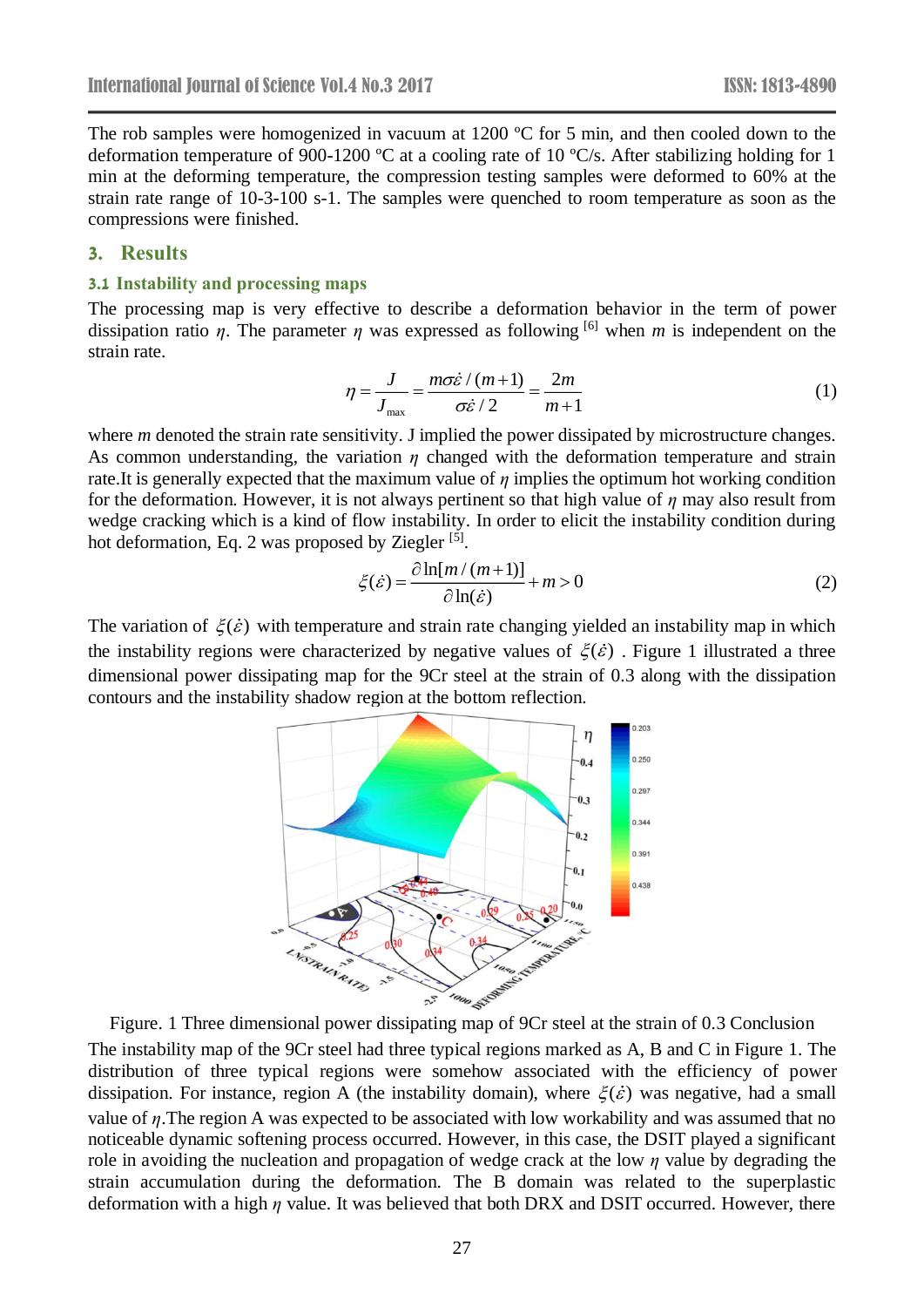The rob samples were homogenized in vacuum at 1200  $\degree$  C for 5 min, and then cooled down to the deformation temperature of 900-1200  $\mathbb C$  at a cooling rate of 10  $\mathbb C$ /s. After stabilizing holding for 1 min at the deforming temperature, the compression testing samples were deformed to 60% at the strain rate range of 10-3-100 s-1. The samples were quenched to room temperature as soon as the compressions were finished.

#### **3. Results**

#### **3.1 Instability and processing maps**

The processing map is very effective to describe a deformation behavior in the term of power dissipation ratio *η*. The parameter *η* was expressed as following <sup>[6]</sup> when *m* is independent on the strain rate.

$$
\eta = \frac{J}{J_{\text{max}}} = \frac{m\sigma\dot{\varepsilon}/(m+1)}{\sigma\dot{\varepsilon}/2} = \frac{2m}{m+1}
$$
(1)

where *m* denoted the strain rate sensitivity. J implied the power dissipated by microstructure changes. As common understanding, the variation *η* changed with the deformation temperature and strain rate.It is generally expected that the maximum value of *η* implies the optimum hot working condition for the deformation. However, it is not always pertinent so that high value of *η* may also result from wedge cracking which is a kind of flow instability. In order to elicit the instability condition during hot deformation, Eq. 2 was proposed by Ziegler [5].

$$
\xi(\dot{\varepsilon}) = \frac{\partial \ln[m/(m+1)]}{\partial \ln(\dot{\varepsilon})} + m > 0
$$
 (2)

The variation of  $\xi(\dot{\varepsilon})$  with temperature and strain rate changing yielded an instability map in which the instability regions were characterized by negative values of  $\xi(\dot{\varepsilon})$ . Figure 1 illustrated a three dimensional power dissipating map for the 9Cr steel at the strain of 0.3 along with the dissipation contours and the instability shadow region at the bottom reflection.



Figure. 1 Three dimensional power dissipating map of 9Cr steel at the strain of 0.3 Conclusion The instability map of the 9Cr steel had three typical regions marked as A, B and C in Figure 1. The distribution of three typical regions were somehow associated with the efficiency of power dissipation. For instance, region A (the instability domain), where  $\xi(\dot{\varepsilon})$  was negative, had a small value of *η*.The region A was expected to be associated with low workability and was assumed that no noticeable dynamic softening process occurred. However, in this case, the DSIT played a significant role in avoiding the nucleation and propagation of wedge crack at the low *η* value by degrading the strain accumulation during the deformation. The B domain was related to the superplastic deformation with a high *η* value. It was believed that both DRX and DSIT occurred. However, there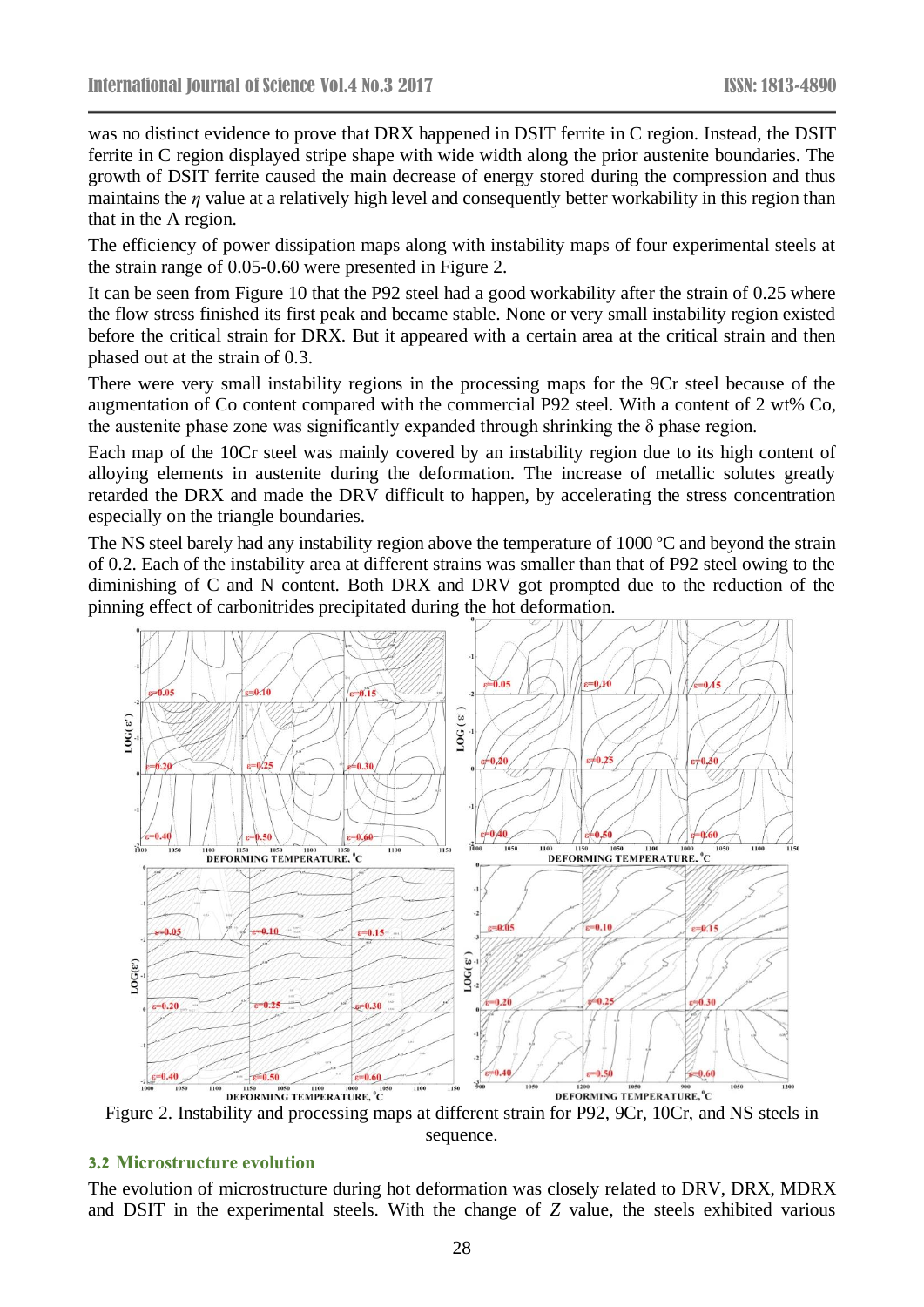was no distinct evidence to prove that DRX happened in DSIT ferrite in C region. Instead, the DSIT ferrite in C region displayed stripe shape with wide width along the prior austenite boundaries. The growth of DSIT ferrite caused the main decrease of energy stored during the compression and thus maintains the *η* value at a relatively high level and consequently better workability in this region than that in the A region.

The efficiency of power dissipation maps along with instability maps of four experimental steels at the strain range of 0.05-0.60 were presented in Figure 2.

It can be seen from Figure 10 that the P92 steel had a good workability after the strain of 0.25 where the flow stress finished its first peak and became stable. None or very small instability region existed before the critical strain for DRX. But it appeared with a certain area at the critical strain and then phased out at the strain of 0.3.

There were very small instability regions in the processing maps for the 9Cr steel because of the augmentation of Co content compared with the commercial P92 steel. With a content of 2 wt% Co, the austenite phase zone was significantly expanded through shrinking the  $\delta$  phase region.

Each map of the 10Cr steel was mainly covered by an instability region due to its high content of alloying elements in austenite during the deformation. The increase of metallic solutes greatly retarded the DRX and made the DRV difficult to happen, by accelerating the stress concentration especially on the triangle boundaries.

The NS steel barely had any instability region above the temperature of 1000  $\degree$ C and beyond the strain of 0.2. Each of the instability area at different strains was smaller than that of P92 steel owing to the diminishing of C and N content. Both DRX and DRV got prompted due to the reduction of the pinning effect of carbonitrides precipitated during the hot deformation.



Figure 2. Instability and processing maps at different strain for P92, 9Cr, 10Cr, and NS steels in sequence.

### **3.2 Microstructure evolution**

The evolution of microstructure during hot deformation was closely related to DRV, DRX, MDRX and DSIT in the experimental steels. With the change of *Z* value, the steels exhibited various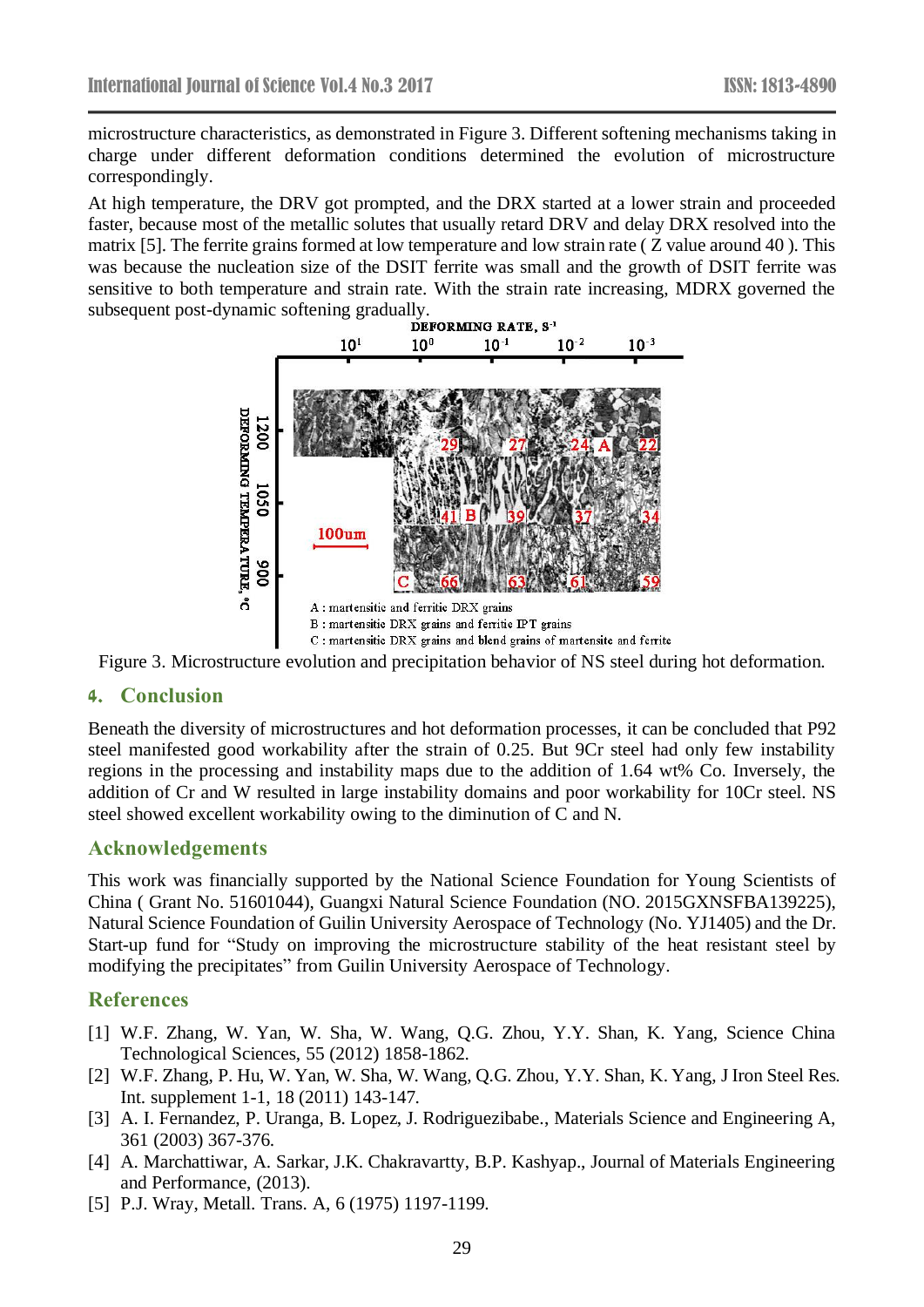microstructure characteristics, as demonstrated in Figure 3. Different softening mechanisms taking in charge under different deformation conditions determined the evolution of microstructure correspondingly.

At high temperature, the DRV got prompted, and the DRX started at a lower strain and proceeded faster, because most of the metallic solutes that usually retard DRV and delay DRX resolved into the matrix [5]. The ferrite grains formed at low temperature and low strain rate ( Z value around 40 ). This was because the nucleation size of the DSIT ferrite was small and the growth of DSIT ferrite was sensitive to both temperature and strain rate. With the strain rate increasing, MDRX governed the subsequent post-dynamic softening gradually.<br>DEFORMING RATE,  $S<sup>-1</sup>$ 



Figure 3. Microstructure evolution and precipitation behavior of NS steel during hot deformation.

## **4. Conclusion**

Beneath the diversity of microstructures and hot deformation processes, it can be concluded that P92 steel manifested good workability after the strain of 0.25. But 9Cr steel had only few instability regions in the processing and instability maps due to the addition of 1.64 wt% Co. Inversely, the addition of Cr and W resulted in large instability domains and poor workability for 10Cr steel. NS steel showed excellent workability owing to the diminution of C and N.

## **Acknowledgements**

This work was financially supported by the National Science Foundation for Young Scientists of China ( Grant No. 51601044), Guangxi Natural Science Foundation (NO. 2015GXNSFBA139225), Natural Science Foundation of Guilin University Aerospace of Technology (No. YJ1405) and the Dr. Start-up fund for "Study on improving the microstructure stability of the heat resistant steel by modifying the precipitates" from Guilin University Aerospace of Technology.

## **References**

- [1] W.F. Zhang, W. Yan, W. Sha, W. Wang, Q.G. Zhou, Y.Y. Shan, K. Yang, Science China Technological Sciences, 55 (2012) 1858-1862.
- [2] W.F. Zhang, P. Hu, W. Yan, W. Sha, W. Wang, Q.G. Zhou, Y.Y. Shan, K. Yang, J Iron Steel Res. Int. supplement 1-1, 18 (2011) 143-147.
- [3] A. I. Fernandez, P. Uranga, B. Lopez, J. Rodriguezibabe., Materials Science and Engineering A, 361 (2003) 367-376.
- [4] A. Marchattiwar, A. Sarkar, J.K. Chakravartty, B.P. Kashyap., Journal of Materials Engineering and Performance, (2013).
- [5] P.J. Wray, Metall. Trans. A, 6 (1975) 1197-1199.